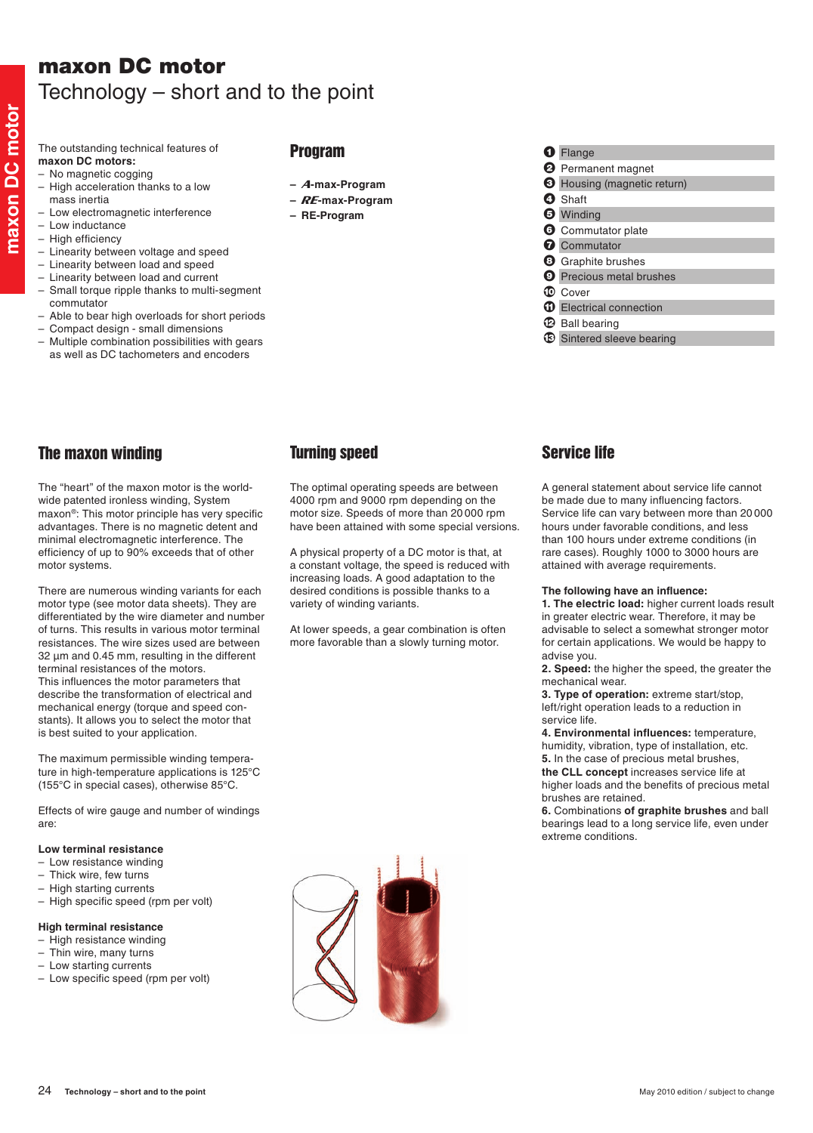# maxon DC motor Technology – short and to the point

The outstanding technical features of **maxon DC motors:**

- No magnetic cogging
- $-$  High acceleration thanks to a low mass inertia
- Low electromagnetic interference
- Low inductance
- High efficiency
- Linearity between voltage and speed
- Linearity between load and speed
- – Linearity between load and current
- – Small torque ripple thanks to multi-segment commutator
- Able to bear high overloads for short periods
- Compact design small dimensions
- – Multiple combination possibilities with gears as well as DC tachometers and encoders

## Program

- **–** A**-max-Program**
- **–** RE**-max-Program**
- **– RE-Program**
- **1** Flange **2** Permanent magnet <sup>3</sup> Housing (magnetic return) **4** Shaft **6** Winding **6** Commutator plate **Q** Commutator
- **8** Graphite brushes
- **9** Precious metal brushes
- $\circ$  Cover
- <sup>1</sup> Electrical connection
- $\bigcirc$  Ball bearing
- $\circledR$  Sintered sleeve bearing

# The maxon winding

The "heart" of the maxon motor is the worldwide patented ironless winding, System maxon®: This motor principle has very specific advantages. There is no magnetic detent and minimal electromagnetic interference. The efficiency of up to 90% exceeds that of other motor systems.

There are numerous winding variants for each motor type (see motor data sheets). They are differentiated by the wire diameter and number of turns. This results in various motor terminal resistances. The wire sizes used are between 32  $\mu$ m and 0.45 mm, resulting in the different terminal resistances of the motors. This influences the motor parameters that describe the transformation of electrical and mechanical energy (torque and speed constants). It allows you to select the motor that is best suited to your application.

The maximum permissible winding temperature in high-temperature applications is 125°C (155°C in special cases), otherwise 85°C.

Effects of wire gauge and number of windings are:

### **Low terminal resistance**

- – Low resistance winding
- Thick wire, few turns
- High starting currents
- High specific speed (rpm per volt)

### **High terminal resistance**

- High resistance winding
- Thin wire, many turns
- Low starting currents
- – Low specific speed (rpm per volt)



The optimal operating speeds are between 4000 rpm and 9000 rpm depending on the motor size. Speeds of more than 20 000 rpm have been attained with some special versions.

A physical property of a DC motor is that, at a constant voltage, the speed is reduced with increasing loads. A good adaptation to the desired conditions is possible thanks to a variety of winding variants.

At lower speeds, a gear combination is often more favorable than a slowly turning motor.

# Service life

A general statement about service life cannot be made due to many influencing factors. Service life can vary between more than 20 000 hours under favorable conditions, and less than 100 hours under extreme conditions (in rare cases). Roughly 1000 to 3000 hours are attained with average requirements.

#### **The following have an influence:**

**1. The electric load:** higher current loads result in greater electric wear. Therefore, it may be advisable to select a somewhat stronger motor for certain applications. We would be happy to advise you.

**2. Speed:** the higher the speed, the greater the mechanical wear.

**3. Type of operation:** extreme start/stop, left/right operation leads to a reduction in service life.

**4. Environmental influences:** temperature, humidity, vibration, type of installation, etc.

**5.** In the case of precious metal brushes, **the CLL concept** increases service life at

higher loads and the benefits of precious metal brushes are retained.

**6.** Combinations **of graphite brushes** and ball bearings lead to a long service life, even under extreme conditions.